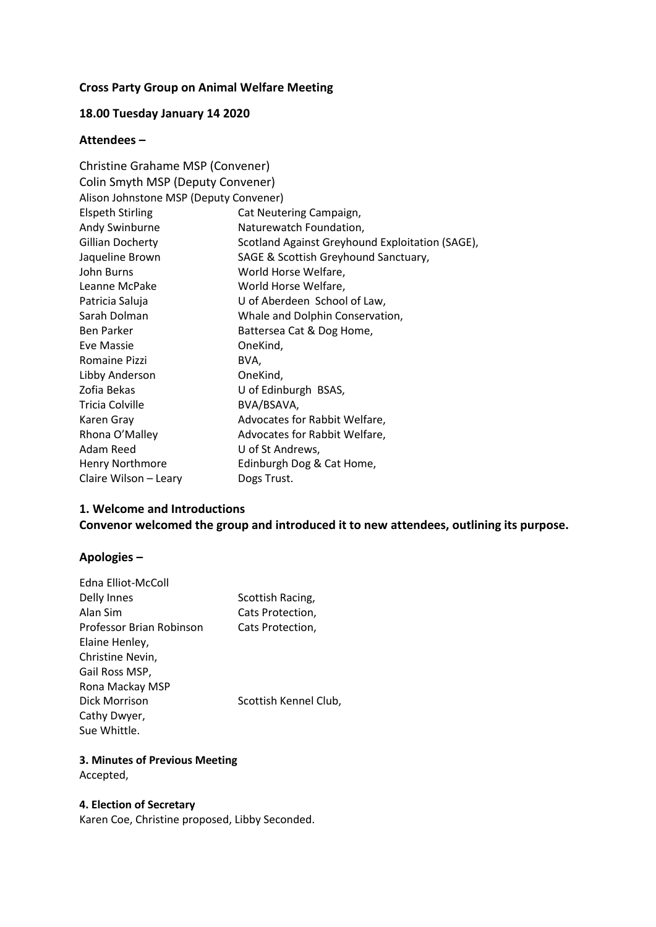# **Cross Party Group on Animal Welfare Meeting**

# **18.00 Tuesday January 14 2020**

# **Attendees –**

| Christine Grahame MSP (Convener)       |                                                 |  |
|----------------------------------------|-------------------------------------------------|--|
| Colin Smyth MSP (Deputy Convener)      |                                                 |  |
| Alison Johnstone MSP (Deputy Convener) |                                                 |  |
| <b>Elspeth Stirling</b>                | Cat Neutering Campaign,                         |  |
| Andy Swinburne                         | Naturewatch Foundation,                         |  |
| <b>Gillian Docherty</b>                | Scotland Against Greyhound Exploitation (SAGE), |  |
| Jaqueline Brown                        | SAGE & Scottish Greyhound Sanctuary,            |  |
| John Burns                             | World Horse Welfare,                            |  |
| Leanne McPake                          | World Horse Welfare,                            |  |
| Patricia Saluja                        | U of Aberdeen School of Law,                    |  |
| Sarah Dolman                           | Whale and Dolphin Conservation,                 |  |
| <b>Ben Parker</b>                      | Battersea Cat & Dog Home,                       |  |
| <b>Eve Massie</b>                      | OneKind,                                        |  |
| Romaine Pizzi                          | BVA,                                            |  |
| Libby Anderson                         | OneKind,                                        |  |
| Zofia Bekas                            | U of Edinburgh BSAS,                            |  |
| <b>Tricia Colville</b>                 | BVA/BSAVA,                                      |  |
| Karen Gray                             | Advocates for Rabbit Welfare,                   |  |
| Rhona O'Malley                         | Advocates for Rabbit Welfare,                   |  |
| Adam Reed                              | U of St Andrews,                                |  |
| Henry Northmore                        | Edinburgh Dog & Cat Home,                       |  |
| Claire Wilson - Leary                  | Dogs Trust.                                     |  |

#### **1. Welcome and Introductions**

# **Convenor welcomed the group and introduced it to new attendees, outlining its purpose.**

# **Apologies –**

| Edna Elliot-McColl       |                       |
|--------------------------|-----------------------|
| Delly Innes              | Scottish Racing,      |
| Alan Sim                 | Cats Protection,      |
| Professor Brian Robinson | Cats Protection,      |
| Elaine Henley,           |                       |
| Christine Nevin,         |                       |
| Gail Ross MSP,           |                       |
| Rona Mackay MSP          |                       |
| Dick Morrison            | Scottish Kennel Club, |
| Cathy Dwyer,             |                       |
| Sue Whittle.             |                       |

# **3. Minutes of Previous Meeting** Accepted,

# **4. Election of Secretary**

Karen Coe, Christine proposed, Libby Seconded.